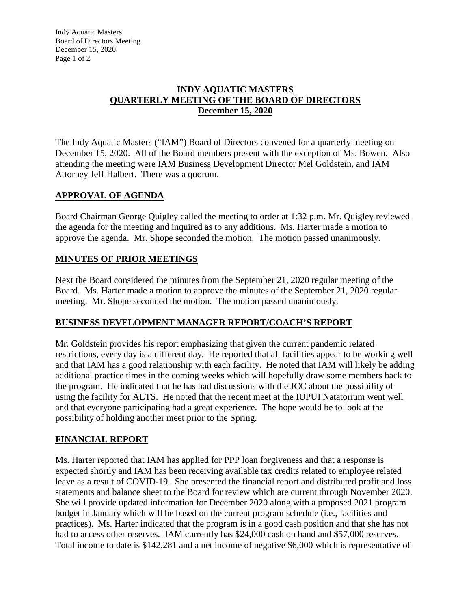Indy Aquatic Masters Board of Directors Meeting December 15, 2020 Page 1 of 2

## **INDY AQUATIC MASTERS QUARTERLY MEETING OF THE BOARD OF DIRECTORS December 15, 2020**

The Indy Aquatic Masters ("IAM") Board of Directors convened for a quarterly meeting on December 15, 2020. All of the Board members present with the exception of Ms. Bowen. Also attending the meeting were IAM Business Development Director Mel Goldstein, and IAM Attorney Jeff Halbert. There was a quorum.

## **APPROVAL OF AGENDA**

Board Chairman George Quigley called the meeting to order at 1:32 p.m. Mr. Quigley reviewed the agenda for the meeting and inquired as to any additions. Ms. Harter made a motion to approve the agenda. Mr. Shope seconded the motion. The motion passed unanimously.

## **MINUTES OF PRIOR MEETINGS**

Next the Board considered the minutes from the September 21, 2020 regular meeting of the Board. Ms. Harter made a motion to approve the minutes of the September 21, 2020 regular meeting. Mr. Shope seconded the motion. The motion passed unanimously.

## **BUSINESS DEVELOPMENT MANAGER REPORT/COACH'S REPORT**

Mr. Goldstein provides his report emphasizing that given the current pandemic related restrictions, every day is a different day. He reported that all facilities appear to be working well and that IAM has a good relationship with each facility. He noted that IAM will likely be adding additional practice times in the coming weeks which will hopefully draw some members back to the program. He indicated that he has had discussions with the JCC about the possibility of using the facility for ALTS. He noted that the recent meet at the IUPUI Natatorium went well and that everyone participating had a great experience. The hope would be to look at the possibility of holding another meet prior to the Spring.

#### **FINANCIAL REPORT**

Ms. Harter reported that IAM has applied for PPP loan forgiveness and that a response is expected shortly and IAM has been receiving available tax credits related to employee related leave as a result of COVID-19. She presented the financial report and distributed profit and loss statements and balance sheet to the Board for review which are current through November 2020. She will provide updated information for December 2020 along with a proposed 2021 program budget in January which will be based on the current program schedule (i.e., facilities and practices). Ms. Harter indicated that the program is in a good cash position and that she has not had to access other reserves. IAM currently has \$24,000 cash on hand and \$57,000 reserves. Total income to date is \$142,281 and a net income of negative \$6,000 which is representative of